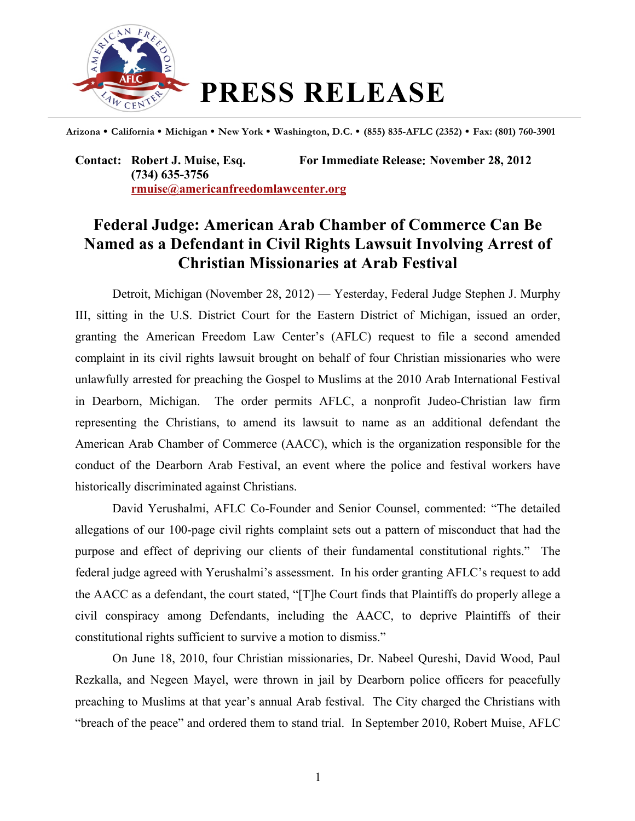

**Arizona California Michigan New York Washington, D.C. (855) 835-AFLC (2352) Fax: (801) 760-3901**

**Contact: Robert J. Muise, Esq. For Immediate Release**: **November 28, 2012 (734) 635-3756 rmuise@americanfreedomlawcenter.org**

## **Federal Judge: American Arab Chamber of Commerce Can Be Named as a Defendant in Civil Rights Lawsuit Involving Arrest of Christian Missionaries at Arab Festival**

Detroit, Michigan (November 28, 2012) — Yesterday, Federal Judge Stephen J. Murphy III, sitting in the U.S. District Court for the Eastern District of Michigan, issued an order, granting the American Freedom Law Center's (AFLC) request to file a second amended complaint in its civil rights lawsuit brought on behalf of four Christian missionaries who were unlawfully arrested for preaching the Gospel to Muslims at the 2010 Arab International Festival in Dearborn, Michigan. The order permits AFLC, a nonprofit Judeo-Christian law firm representing the Christians, to amend its lawsuit to name as an additional defendant the American Arab Chamber of Commerce (AACC), which is the organization responsible for the conduct of the Dearborn Arab Festival, an event where the police and festival workers have historically discriminated against Christians.

David Yerushalmi, AFLC Co-Founder and Senior Counsel, commented: "The detailed allegations of our 100-page civil rights complaint sets out a pattern of misconduct that had the purpose and effect of depriving our clients of their fundamental constitutional rights." The federal judge agreed with Yerushalmi's assessment. In his order granting AFLC's request to add the AACC as a defendant, the court stated, "[T]he Court finds that Plaintiffs do properly allege a civil conspiracy among Defendants, including the AACC, to deprive Plaintiffs of their constitutional rights sufficient to survive a motion to dismiss."

On June 18, 2010, four Christian missionaries, Dr. Nabeel Qureshi, David Wood, Paul Rezkalla, and Negeen Mayel, were thrown in jail by Dearborn police officers for peacefully preaching to Muslims at that year's annual Arab festival. The City charged the Christians with "breach of the peace" and ordered them to stand trial. In September 2010, Robert Muise, AFLC